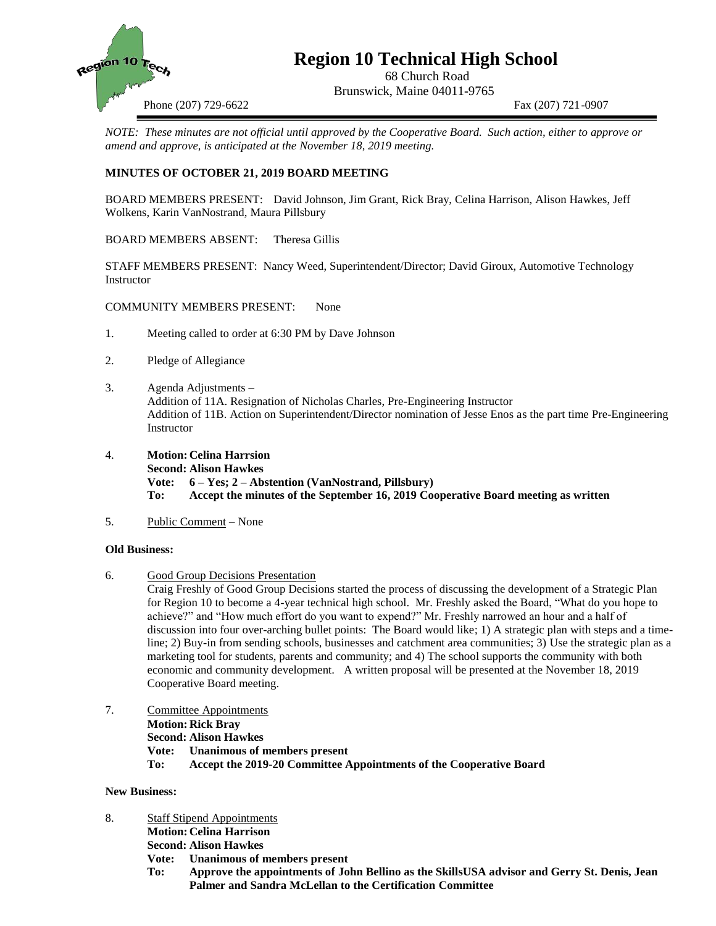

# **Region 10 Technical High School**

68 Church Road Brunswick, Maine 04011-9765

Phone (207) 729-6622 Fax (207) 721-0907

*NOTE: These minutes are not official until approved by the Cooperative Board. Such action, either to approve or amend and approve, is anticipated at the November 18, 2019 meeting.*

## **MINUTES OF OCTOBER 21, 2019 BOARD MEETING**

BOARD MEMBERS PRESENT: David Johnson, Jim Grant, Rick Bray, Celina Harrison, Alison Hawkes, Jeff Wolkens, Karin VanNostrand, Maura Pillsbury

BOARD MEMBERS ABSENT: Theresa Gillis

STAFF MEMBERS PRESENT: Nancy Weed, Superintendent/Director; David Giroux, Automotive Technology Instructor

COMMUNITY MEMBERS PRESENT: None

- 1. Meeting called to order at 6:30 PM by Dave Johnson
- 2. Pledge of Allegiance
- 3. Agenda Adjustments Addition of 11A. Resignation of Nicholas Charles, Pre-Engineering Instructor Addition of 11B. Action on Superintendent/Director nomination of Jesse Enos as the part time Pre-Engineering Instructor
- 4. **Motion: Celina Harrsion Second: Alison Hawkes Vote: 6 – Yes; 2 – Abstention (VanNostrand, Pillsbury) To: Accept the minutes of the September 16, 2019 Cooperative Board meeting as written**
- 5. Public Comment None

#### **Old Business:**

6. Good Group Decisions Presentation

Craig Freshly of Good Group Decisions started the process of discussing the development of a Strategic Plan for Region 10 to become a 4-year technical high school. Mr. Freshly asked the Board, "What do you hope to achieve?" and "How much effort do you want to expend?" Mr. Freshly narrowed an hour and a half of discussion into four over-arching bullet points: The Board would like; 1) A strategic plan with steps and a timeline; 2) Buy-in from sending schools, businesses and catchment area communities; 3) Use the strategic plan as a marketing tool for students, parents and community; and 4) The school supports the community with both economic and community development. A written proposal will be presented at the November 18, 2019 Cooperative Board meeting.

- 7. Committee Appointments
	- **Motion: Rick Bray**
	- **Second: Alison Hawkes**
	- **Vote: Unanimous of members present**
	- **To: Accept the 2019-20 Committee Appointments of the Cooperative Board**

## **New Business:**

- 8. Staff Stipend Appointments **Motion: Celina Harrison Second: Alison Hawkes Vote: Unanimous of members present**
	- **To: Approve the appointments of John Bellino as the SkillsUSA advisor and Gerry St. Denis, Jean Palmer and Sandra McLellan to the Certification Committee**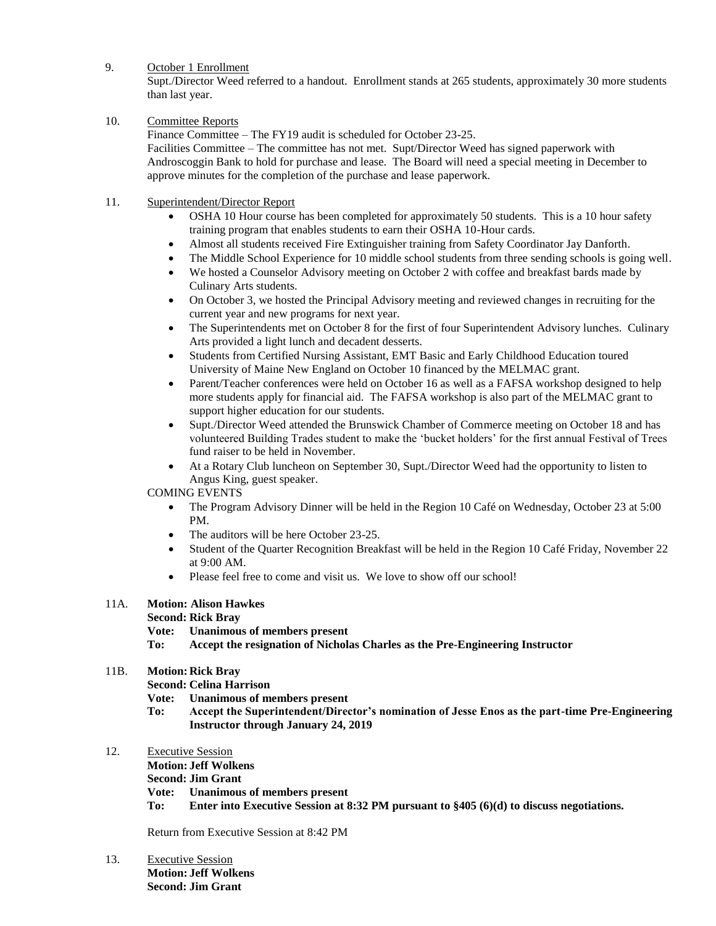### 9. October 1 Enrollment

Supt./Director Weed referred to a handout. Enrollment stands at 265 students, approximately 30 more students than last year.

## 10. Committee Reports

Finance Committee – The FY19 audit is scheduled for October 23-25. Facilities Committee – The committee has not met. Supt/Director Weed has signed paperwork with Androscoggin Bank to hold for purchase and lease. The Board will need a special meeting in December to approve minutes for the completion of the purchase and lease paperwork.

## 11. Superintendent/Director Report

- OSHA 10 Hour course has been completed for approximately 50 students. This is a 10 hour safety training program that enables students to earn their OSHA 10-Hour cards.
- Almost all students received Fire Extinguisher training from Safety Coordinator Jay Danforth.
- The Middle School Experience for 10 middle school students from three sending schools is going well.
- We hosted a Counselor Advisory meeting on October 2 with coffee and breakfast bards made by Culinary Arts students.
- On October 3, we hosted the Principal Advisory meeting and reviewed changes in recruiting for the current year and new programs for next year.
- The Superintendents met on October 8 for the first of four Superintendent Advisory lunches. Culinary Arts provided a light lunch and decadent desserts.
- Students from Certified Nursing Assistant, EMT Basic and Early Childhood Education toured University of Maine New England on October 10 financed by the MELMAC grant.
- Parent/Teacher conferences were held on October 16 as well as a FAFSA workshop designed to help more students apply for financial aid. The FAFSA workshop is also part of the MELMAC grant to support higher education for our students.
- Supt./Director Weed attended the Brunswick Chamber of Commerce meeting on October 18 and has volunteered Building Trades student to make the 'bucket holders' for the first annual Festival of Trees fund raiser to be held in November.
- At a Rotary Club luncheon on September 30, Supt./Director Weed had the opportunity to listen to Angus King, guest speaker.

### COMING EVENTS

- The Program Advisory Dinner will be held in the Region 10 Café on Wednesday, October 23 at 5:00 PM.
- The auditors will be here October 23-25.
- Student of the Quarter Recognition Breakfast will be held in the Region 10 Café Friday, November 22 at 9:00 AM.
- Please feel free to come and visit us. We love to show off our school!

# 11A. **Motion: Alison Hawkes**

**Second: Rick Bray**

**Vote: Unanimous of members present**

**To: Accept the resignation of Nicholas Charles as the Pre-Engineering Instructor**

# 11B. **Motion: Rick Bray**

**Second: Celina Harrison**

**Vote: Unanimous of members present**

- **To: Accept the Superintendent/Director's nomination of Jesse Enos as the part-time Pre-Engineering Instructor through January 24, 2019**
- 12. Executive Session
	- **Motion: Jeff Wolkens**

**Second: Jim Grant**

- **Vote: Unanimous of members present**
- **To: Enter into Executive Session at 8:32 PM pursuant to §405 (6)(d) to discuss negotiations.**

Return from Executive Session at 8:42 PM

13. Executive Session **Motion: Jeff Wolkens Second: Jim Grant**